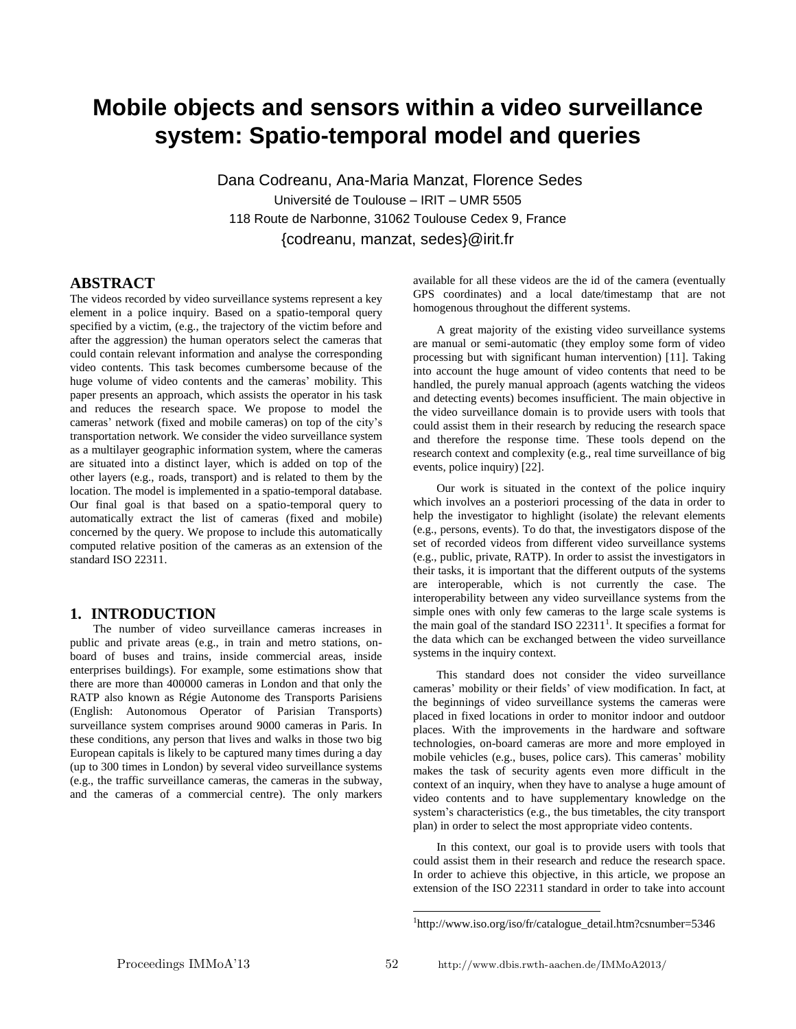## **Mobile objects and sensors within a video surveillance system: Spatio-temporal model and queries**

Dana Codreanu, Ana-Maria Manzat, Florence Sedes Université de Toulouse – IRIT – UMR 5505 118 Route de Narbonne, 31062 Toulouse Cedex 9, France {codreanu, manzat, sedes}@irit.fr

#### **ABSTRACT**

The videos recorded by video surveillance systems represent a key element in a police inquiry. Based on a spatio-temporal query specified by a victim, (e.g., the trajectory of the victim before and after the aggression) the human operators select the cameras that could contain relevant information and analyse the corresponding video contents. This task becomes cumbersome because of the huge volume of video contents and the cameras' mobility. This paper presents an approach, which assists the operator in his task and reduces the research space. We propose to model the cameras' network (fixed and mobile cameras) on top of the city's transportation network. We consider the video surveillance system as a multilayer geographic information system, where the cameras are situated into a distinct layer, which is added on top of the other layers (e.g., roads, transport) and is related to them by the location. The model is implemented in a spatio-temporal database. Our final goal is that based on a spatio-temporal query to automatically extract the list of cameras (fixed and mobile) concerned by the query. We propose to include this automatically computed relative position of the cameras as an extension of the standard ISO 22311.

#### **1. INTRODUCTION**

The number of video surveillance cameras increases in public and private areas (e.g., in train and metro stations, onboard of buses and trains, inside commercial areas, inside enterprises buildings). For example, some estimations show that there are more than 400000 cameras in London and that only the RATP also known as Régie Autonome des Transports Parisiens (English: Autonomous Operator of Parisian Transports) surveillance system comprises around 9000 cameras in Paris. In these conditions, any person that lives and walks in those two big European capitals is likely to be captured many times during a day (up to 300 times in London) by several video surveillance systems (e.g., the traffic surveillance cameras, the cameras in the subway, and the cameras of a commercial centre). The only markers available for all these videos are the id of the camera (eventually GPS coordinates) and a local date/timestamp that are not homogenous throughout the different systems.

A great majority of the existing video surveillance systems are manual or semi-automatic (they employ some form of video processing but with significant human intervention) [11]. Taking into account the huge amount of video contents that need to be handled, the purely manual approach (agents watching the videos and detecting events) becomes insufficient. The main objective in the video surveillance domain is to provide users with tools that could assist them in their research by reducing the research space and therefore the response time. These tools depend on the research context and complexity (e.g., real time surveillance of big events, police inquiry) [22].

Our work is situated in the context of the police inquiry which involves an a posteriori processing of the data in order to help the investigator to highlight (isolate) the relevant elements (e.g., persons, events). To do that, the investigators dispose of the set of recorded videos from different video surveillance systems (e.g., public, private, RATP). In order to assist the investigators in their tasks, it is important that the different outputs of the systems are interoperable, which is not currently the case. The interoperability between any video surveillance systems from the simple ones with only few cameras to the large scale systems is the main goal of the standard ISO  $22311<sup>1</sup>$ . It specifies a format for the data which can be exchanged between the video surveillance systems in the inquiry context.

This standard does not consider the video surveillance cameras' mobility or their fields' of view modification. In fact, at the beginnings of video surveillance systems the cameras were placed in fixed locations in order to monitor indoor and outdoor places. With the improvements in the hardware and software technologies, on-board cameras are more and more employed in mobile vehicles (e.g., buses, police cars). This cameras' mobility makes the task of security agents even more difficult in the context of an inquiry, when they have to analyse a huge amount of video contents and to have supplementary knowledge on the system's characteristics (e.g., the bus timetables, the city transport plan) in order to select the most appropriate video contents.

In this context, our goal is to provide users with tools that could assist them in their research and reduce the research space. In order to achieve this objective, in this article, we propose an extension of the ISO 22311 standard in order to take into account

l

<sup>1</sup> http://www.iso.org/iso/fr/catalogue\_detail.htm?csnumber=5346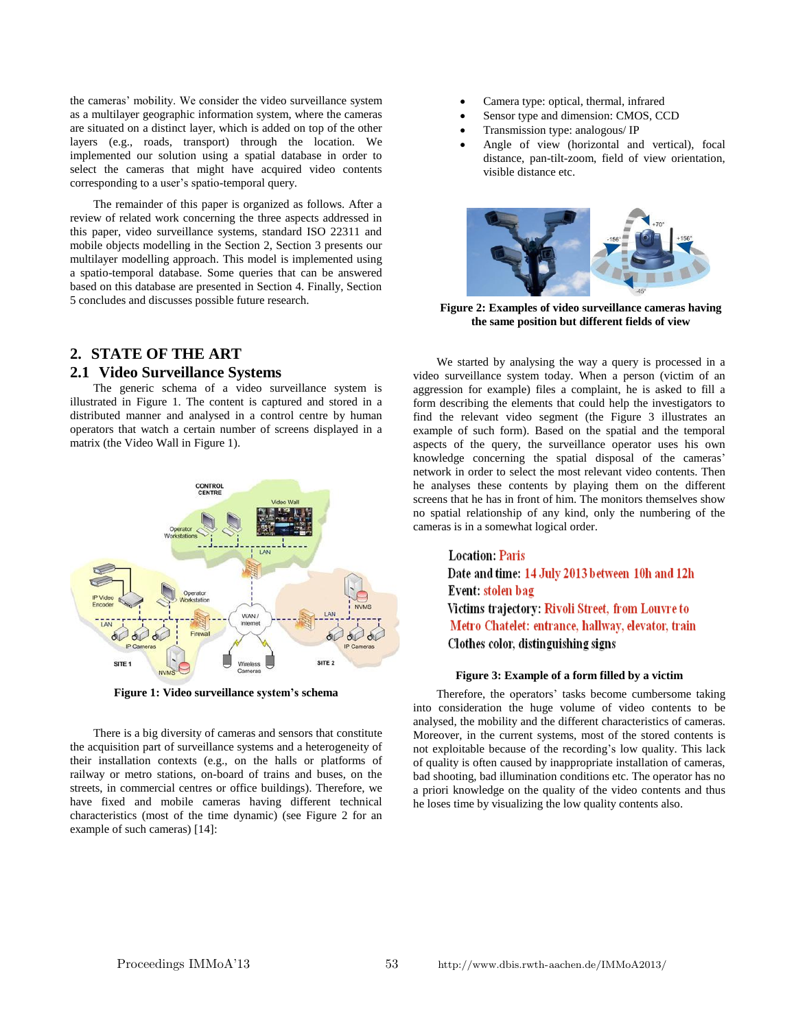the cameras' mobility. We consider the video surveillance system as a multilayer geographic information system, where the cameras are situated on a distinct layer, which is added on top of the other layers (e.g., roads, transport) through the location. We implemented our solution using a spatial database in order to select the cameras that might have acquired video contents corresponding to a user's spatio-temporal query.

The remainder of this paper is organized as follows. After a review of related work concerning the three aspects addressed in this paper, video surveillance systems, standard ISO 22311 and mobile objects modelling in the Section 2, Section 3 presents our multilayer modelling approach. This model is implemented using a spatio-temporal database. Some queries that can be answered based on this database are presented in Section 4. Finally, Section 5 concludes and discusses possible future research.

# **2. STATE OF THE ART**

## **2.1 Video Surveillance Systems**

The generic schema of a video surveillance system is illustrated in Figure 1. The content is captured and stored in a distributed manner and analysed in a control centre by human operators that watch a certain number of screens displayed in a matrix (the Video Wall in Figure 1).



**Figure 1: Video surveillance system's schema**

There is a big diversity of cameras and sensors that constitute the acquisition part of surveillance systems and a heterogeneity of their installation contexts (e.g., on the halls or platforms of railway or metro stations, on-board of trains and buses, on the streets, in commercial centres or office buildings). Therefore, we have fixed and mobile cameras having different technical characteristics (most of the time dynamic) (see Figure 2 for an example of such cameras) [14]:

- Camera type: optical, thermal, infrared
- Sensor type and dimension: CMOS, CCD
- Transmission type: analogous/ IP
- Angle of view (horizontal and vertical), focal distance, pan-tilt-zoom, field of view orientation, visible distance etc.



**Figure 2: Examples of video surveillance cameras having the same position but different fields of view**

We started by analysing the way a query is processed in a video surveillance system today. When a person (victim of an aggression for example) files a complaint, he is asked to fill a form describing the elements that could help the investigators to find the relevant video segment (the Figure 3 illustrates an example of such form). Based on the spatial and the temporal aspects of the query, the surveillance operator uses his own knowledge concerning the spatial disposal of the cameras' network in order to select the most relevant video contents. Then he analyses these contents by playing them on the different screens that he has in front of him. The monitors themselves show no spatial relationship of any kind, only the numbering of the cameras is in a somewhat logical order.

> **Location: Paris** Date and time: 14 July 2013 between 10h and 12h Event: stolen bag Victims trajectory: Rivoli Street, from Louvre to Metro Chatelet: entrance, hallway, elevator, train Clothes color, distinguishing signs

#### **Figure 3: Example of a form filled by a victim**

Therefore, the operators' tasks become cumbersome taking into consideration the huge volume of video contents to be analysed, the mobility and the different characteristics of cameras. Moreover, in the current systems, most of the stored contents is not exploitable because of the recording's low quality. This lack of quality is often caused by inappropriate installation of cameras, bad shooting, bad illumination conditions etc. The operator has no a priori knowledge on the quality of the video contents and thus he loses time by visualizing the low quality contents also.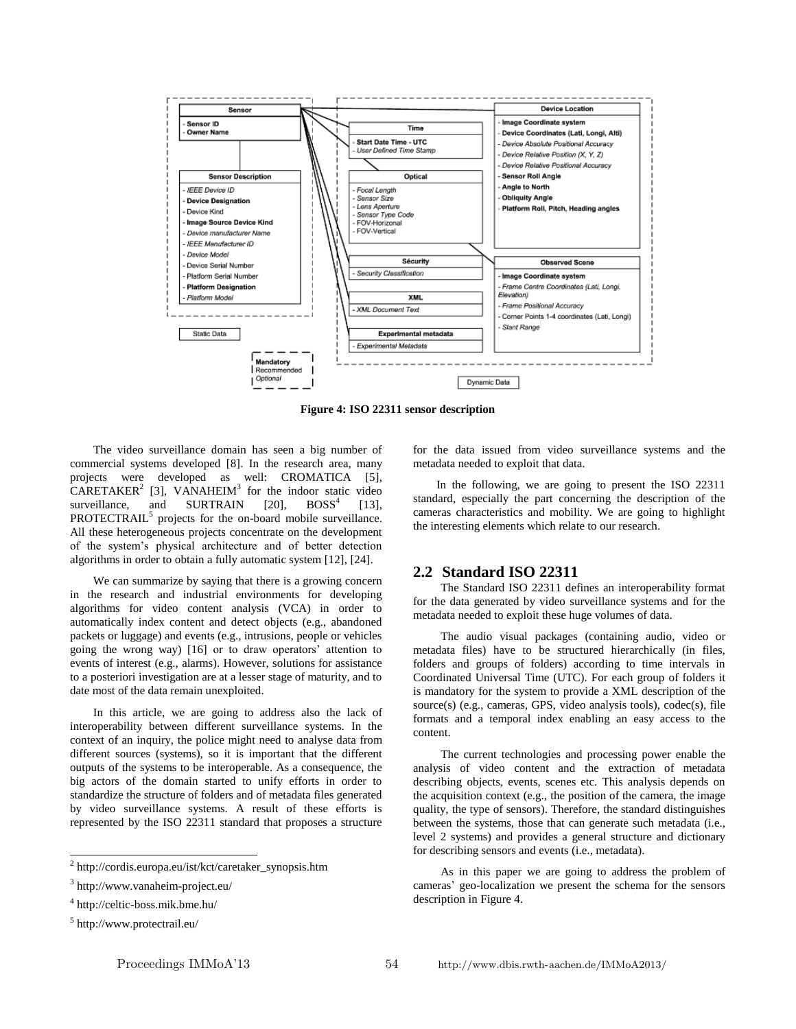

**Figure 4: ISO 22311 sensor description**

The video surveillance domain has seen a big number of commercial systems developed [8]. In the research area, many projects were developed as well: CROMATICA [5], CARETAKER<sup>2</sup> [3], VANAHEIM<sup>3</sup> for the indoor static video surveillance, and SURTRAIN  $[20]$ , BOSS<sup>4</sup> [13]. PROTECTRAIL<sup>5</sup> projects for the on-board mobile surveillance. All these heterogeneous projects concentrate on the development of the system's physical architecture and of better detection algorithms in order to obtain a fully automatic system [12], [24].

We can summarize by saying that there is a growing concern in the research and industrial environments for developing algorithms for video content analysis (VCA) in order to automatically index content and detect objects (e.g., abandoned packets or luggage) and events (e.g., intrusions, people or vehicles going the wrong way) [16] or to draw operators' attention to events of interest (e.g., alarms). However, solutions for assistance to a posteriori investigation are at a lesser stage of maturity, and to date most of the data remain unexploited.

In this article, we are going to address also the lack of interoperability between different surveillance systems. In the context of an inquiry, the police might need to analyse data from different sources (systems), so it is important that the different outputs of the systems to be interoperable. As a consequence, the big actors of the domain started to unify efforts in order to standardize the structure of folders and of metadata files generated by video surveillance systems. A result of these efforts is represented by the ISO 22311 standard that proposes a structure

l

for the data issued from video surveillance systems and the metadata needed to exploit that data.

In the following, we are going to present the ISO 22311 standard, especially the part concerning the description of the cameras characteristics and mobility. We are going to highlight the interesting elements which relate to our research.

#### **2.2 Standard ISO 22311**

The Standard ISO 22311 defines an interoperability format for the data generated by video surveillance systems and for the metadata needed to exploit these huge volumes of data.

The audio visual packages (containing audio, video or metadata files) have to be structured hierarchically (in files, folders and groups of folders) according to time intervals in Coordinated Universal Time (UTC). For each group of folders it is mandatory for the system to provide a XML description of the source(s) (e.g., cameras, GPS, video analysis tools), codec(s), file formats and a temporal index enabling an easy access to the content.

The current technologies and processing power enable the analysis of video content and the extraction of metadata describing objects, events, scenes etc. This analysis depends on the acquisition context (e.g., the position of the camera, the image quality, the type of sensors). Therefore, the standard distinguishes between the systems, those that can generate such metadata (i.e., level 2 systems) and provides a general structure and dictionary for describing sensors and events (i.e., metadata).

<sup>2</sup> http://cordis.europa.eu/ist/kct/caretaker\_synopsis.htm

<sup>3</sup> http://www.vanaheim-project.eu/

<sup>4</sup> http://celtic-boss.mik.bme.hu/

<sup>5</sup> http://www.protectrail.eu/

As in this paper we are going to address the problem of cameras' geo-localization we present the schema for the sensors description in Figure 4.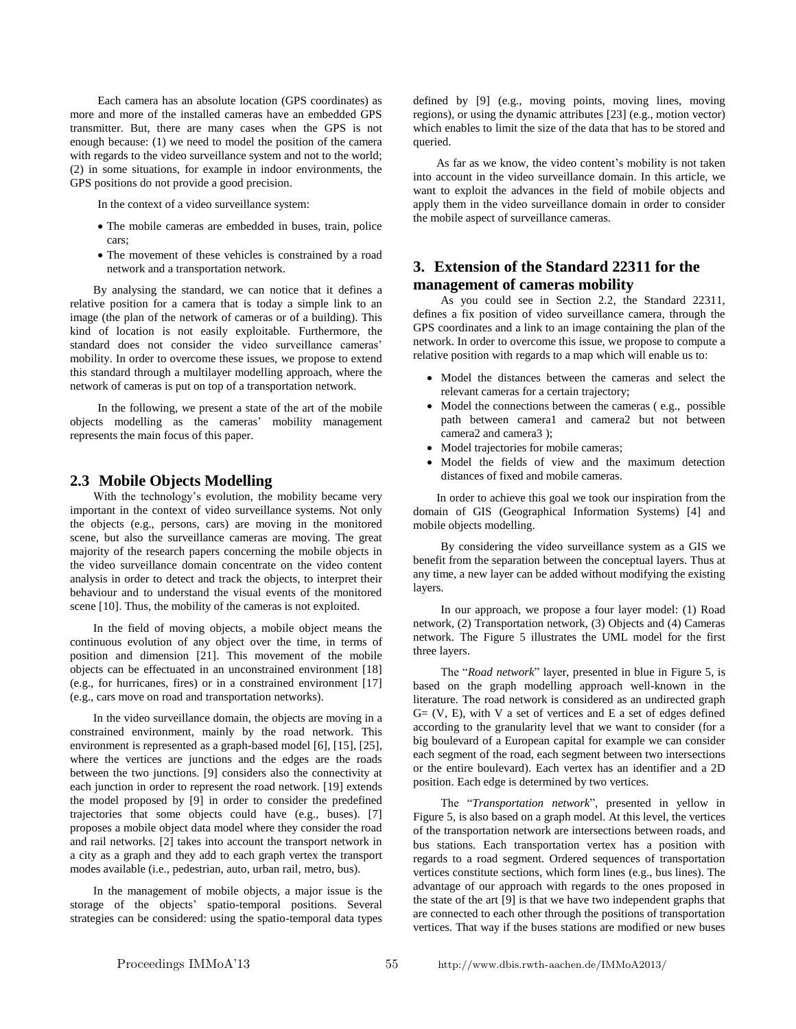Each camera has an absolute location (GPS coordinates) as more and more of the installed cameras have an embedded GPS transmitter. But, there are many cases when the GPS is not enough because: (1) we need to model the position of the camera with regards to the video surveillance system and not to the world; (2) in some situations, for example in indoor environments, the GPS positions do not provide a good precision.

In the context of a video surveillance system:

- The mobile cameras are embedded in buses, train, police cars;
- The movement of these vehicles is constrained by a road network and a transportation network.

By analysing the standard, we can notice that it defines a relative position for a camera that is today a simple link to an image (the plan of the network of cameras or of a building). This kind of location is not easily exploitable. Furthermore, the standard does not consider the video surveillance cameras' mobility. In order to overcome these issues, we propose to extend this standard through a multilayer modelling approach, where the network of cameras is put on top of a transportation network.

In the following, we present a state of the art of the mobile objects modelling as the cameras' mobility management represents the main focus of this paper.

#### **2.3 Mobile Objects Modelling**

With the technology's evolution, the mobility became very important in the context of video surveillance systems. Not only the objects (e.g., persons, cars) are moving in the monitored scene, but also the surveillance cameras are moving. The great majority of the research papers concerning the mobile objects in the video surveillance domain concentrate on the video content analysis in order to detect and track the objects, to interpret their behaviour and to understand the visual events of the monitored scene [10]. Thus, the mobility of the cameras is not exploited.

In the field of moving objects, a mobile object means the continuous evolution of any object over the time, in terms of position and dimension [21]. This movement of the mobile objects can be effectuated in an unconstrained environment [18] (e.g., for hurricanes, fires) or in a constrained environment [17] (e.g., cars move on road and transportation networks).

In the video surveillance domain, the objects are moving in a constrained environment, mainly by the road network. This environment is represented as a graph-based model [6], [15], [25], where the vertices are junctions and the edges are the roads between the two junctions. [9] considers also the connectivity at each junction in order to represent the road network. [19] extends the model proposed by [9] in order to consider the predefined trajectories that some objects could have (e.g., buses). [7] proposes a mobile object data model where they consider the road and rail networks. [2] takes into account the transport network in a city as a graph and they add to each graph vertex the transport modes available (i.e., pedestrian, auto, urban rail, metro, bus).

In the management of mobile objects, a major issue is the storage of the objects' spatio-temporal positions. Several strategies can be considered: using the spatio-temporal data types defined by [9] (e.g., moving points, moving lines, moving regions), or using the dynamic attributes [23] (e.g., motion vector) which enables to limit the size of the data that has to be stored and queried.

As far as we know, the video content's mobility is not taken into account in the video surveillance domain. In this article, we want to exploit the advances in the field of mobile objects and apply them in the video surveillance domain in order to consider the mobile aspect of surveillance cameras.

### **3. Extension of the Standard 22311 for the management of cameras mobility**

As you could see in Section 2.2, the Standard 22311, defines a fix position of video surveillance camera, through the GPS coordinates and a link to an image containing the plan of the network. In order to overcome this issue, we propose to compute a relative position with regards to a map which will enable us to:

- Model the distances between the cameras and select the relevant cameras for a certain trajectory;
- Model the connections between the cameras ( e.g., possible path between camera1 and camera2 but not between camera2 and camera3 );
- Model trajectories for mobile cameras;
- Model the fields of view and the maximum detection distances of fixed and mobile cameras.

In order to achieve this goal we took our inspiration from the domain of GIS (Geographical Information Systems) [4] and mobile objects modelling.

By considering the video surveillance system as a GIS we benefit from the separation between the conceptual layers. Thus at any time, a new layer can be added without modifying the existing layers.

In our approach, we propose a four layer model: (1) Road network, (2) Transportation network, (3) Objects and (4) Cameras network. The Figure 5 illustrates the UML model for the first three layers.

The "*Road network*" layer, presented in blue in Figure 5, is based on the graph modelling approach well-known in the literature. The road network is considered as an undirected graph  $G = (V, E)$ , with V a set of vertices and E a set of edges defined according to the granularity level that we want to consider (for a big boulevard of a European capital for example we can consider each segment of the road, each segment between two intersections or the entire boulevard). Each vertex has an identifier and a 2D position. Each edge is determined by two vertices.

The "*Transportation network*", presented in yellow in Figure 5, is also based on a graph model. At this level, the vertices of the transportation network are intersections between roads, and bus stations. Each transportation vertex has a position with regards to a road segment. Ordered sequences of transportation vertices constitute sections, which form lines (e.g., bus lines). The advantage of our approach with regards to the ones proposed in the state of the art [9] is that we have two independent graphs that are connected to each other through the positions of transportation vertices. That way if the buses stations are modified or new buses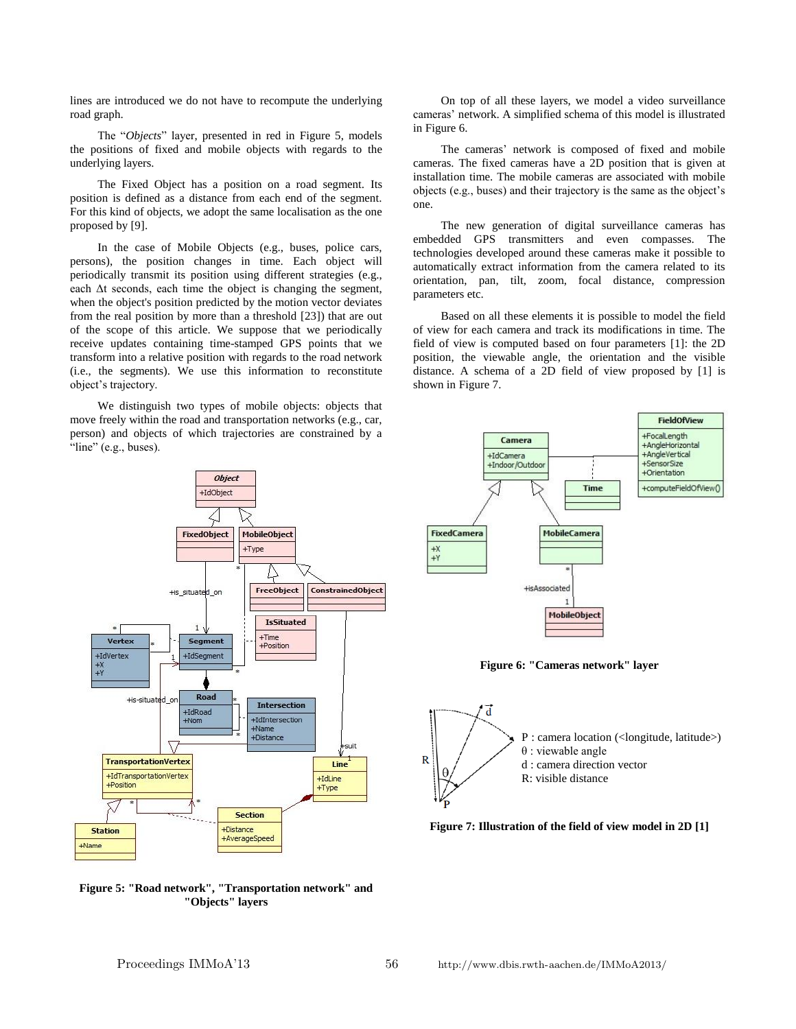lines are introduced we do not have to recompute the underlying road graph.

The "*Objects*" layer, presented in red in Figure 5, models the positions of fixed and mobile objects with regards to the underlying layers.

The Fixed Object has a position on a road segment. Its position is defined as a distance from each end of the segment. For this kind of objects, we adopt the same localisation as the one proposed by [9].

In the case of Mobile Objects (e.g., buses, police cars, persons), the position changes in time. Each object will periodically transmit its position using different strategies (e.g., each  $\Delta t$  seconds, each time the object is changing the segment, when the object's position predicted by the motion vector deviates from the real position by more than a threshold [23]) that are out of the scope of this article. We suppose that we periodically receive updates containing time-stamped GPS points that we transform into a relative position with regards to the road network (i.e., the segments). We use this information to reconstitute object's trajectory.

We distinguish two types of mobile objects: objects that move freely within the road and transportation networks (e.g., car, person) and objects of which trajectories are constrained by a "line" (e.g., buses).

On top of all these layers, we model a video surveillance cameras' network. A simplified schema of this model is illustrated in Figure 6.

The cameras' network is composed of fixed and mobile cameras. The fixed cameras have a 2D position that is given at installation time. The mobile cameras are associated with mobile objects (e.g., buses) and their trajectory is the same as the object's one.

The new generation of digital surveillance cameras has embedded GPS transmitters and even compasses. The technologies developed around these cameras make it possible to automatically extract information from the camera related to its orientation, pan, tilt, zoom, focal distance, compression parameters etc.

Based on all these elements it is possible to model the field of view for each camera and track its modifications in time. The field of view is computed based on four parameters [1]: the 2D position, the viewable angle, the orientation and the visible distance. A schema of a 2D field of view proposed by [1] is shown in Figure 7.

Camera

+Indoor/Qutdoo

+IdCamera

FieldOfView +FocalLength

+AngleHorizontal

+AngleVertical +SensorSize



**Figure 5: "Road network", "Transportation network" and "Objects" layers**

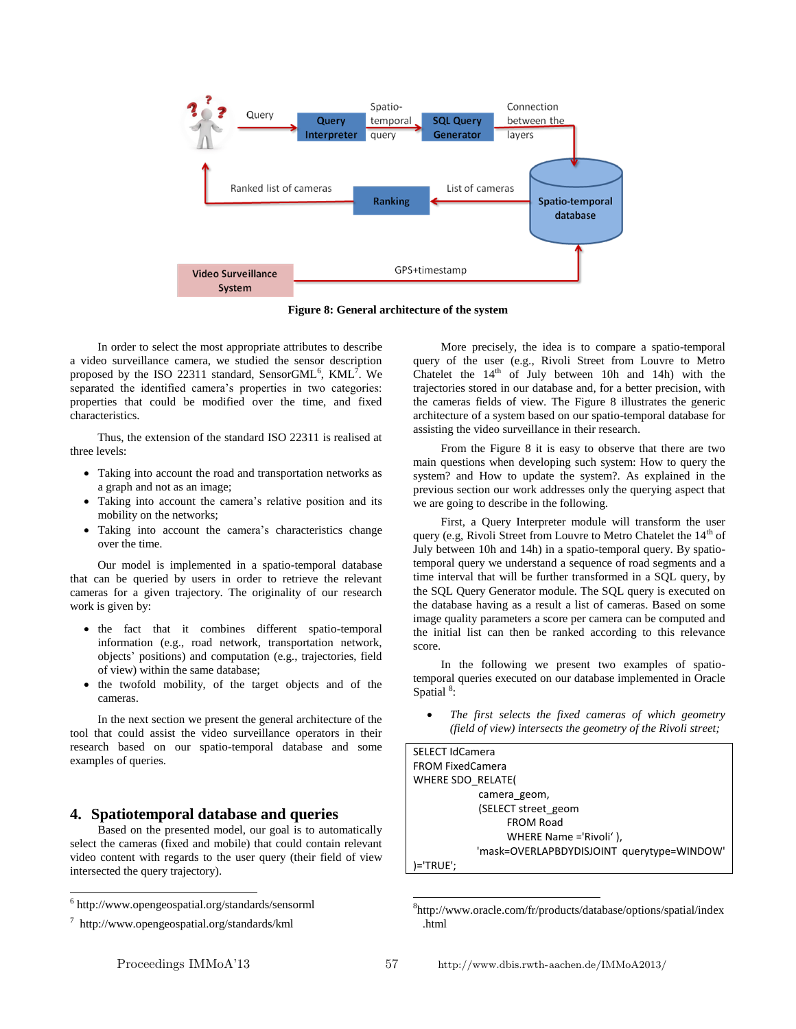

**Figure 8: General architecture of the system**

In order to select the most appropriate attributes to describe a video surveillance camera, we studied the sensor description proposed by the ISO 22311 standard, SensorGML<sup>6</sup>, KML<sup>7</sup>. We separated the identified camera's properties in two categories: properties that could be modified over the time, and fixed characteristics.

Thus, the extension of the standard ISO 22311 is realised at three levels:

- Taking into account the road and transportation networks as a graph and not as an image;
- Taking into account the camera's relative position and its mobility on the networks;
- Taking into account the camera's characteristics change over the time.

Our model is implemented in a spatio-temporal database that can be queried by users in order to retrieve the relevant cameras for a given trajectory. The originality of our research work is given by:

- the fact that it combines different spatio-temporal information (e.g., road network, transportation network, objects' positions) and computation (e.g., trajectories, field of view) within the same database;
- the twofold mobility, of the target objects and of the cameras.

In the next section we present the general architecture of the tool that could assist the video surveillance operators in their research based on our spatio-temporal database and some examples of queries.

#### **4. Spatiotemporal database and queries**

Based on the presented model, our goal is to automatically select the cameras (fixed and mobile) that could contain relevant video content with regards to the user query (their field of view intersected the query trajectory).

 $\overline{a}$ 

More precisely, the idea is to compare a spatio-temporal query of the user (e.g., Rivoli Street from Louvre to Metro Chatelet the  $14<sup>th</sup>$  of July between 10h and 14h) with the trajectories stored in our database and, for a better precision, with the cameras fields of view. The Figure 8 illustrates the generic architecture of a system based on our spatio-temporal database for assisting the video surveillance in their research.

From the Figure 8 it is easy to observe that there are two main questions when developing such system: How to query the system? and How to update the system?. As explained in the previous section our work addresses only the querying aspect that we are going to describe in the following.

First, a Query Interpreter module will transform the user query (e.g, Rivoli Street from Louvre to Metro Chatelet the  $14<sup>th</sup>$  of July between 10h and 14h) in a spatio-temporal query. By spatiotemporal query we understand a sequence of road segments and a time interval that will be further transformed in a SQL query, by the SQL Query Generator module. The SQL query is executed on the database having as a result a list of cameras. Based on some image quality parameters a score per camera can be computed and the initial list can then be ranked according to this relevance score.

In the following we present two examples of spatiotemporal queries executed on our database implemented in Oracle Spatial<sup>8</sup>:

 *The first selects the fixed cameras of which geometry (field of view) intersects the geometry of the Rivoli street;*

| <b>SELECT IdCamera</b>                     |
|--------------------------------------------|
| <b>FROM FixedCamera</b>                    |
| WHERE SDO RELATE(                          |
| camera geom,                               |
| (SELECT street geom                        |
| <b>FROM Road</b>                           |
| WHERE Name ='Rivoli'),                     |
| 'mask=OVERLAPBDYDISJOINT querytype=WINDOW' |
| )='TRUE';                                  |

<sup>8</sup> http://www.oracle.com/fr/products/database/options/spatial/index .html

l

<sup>6</sup> http://www.opengeospatial.org/standards/sensorml

<sup>7</sup> http://www.opengeospatial.org/standards/kml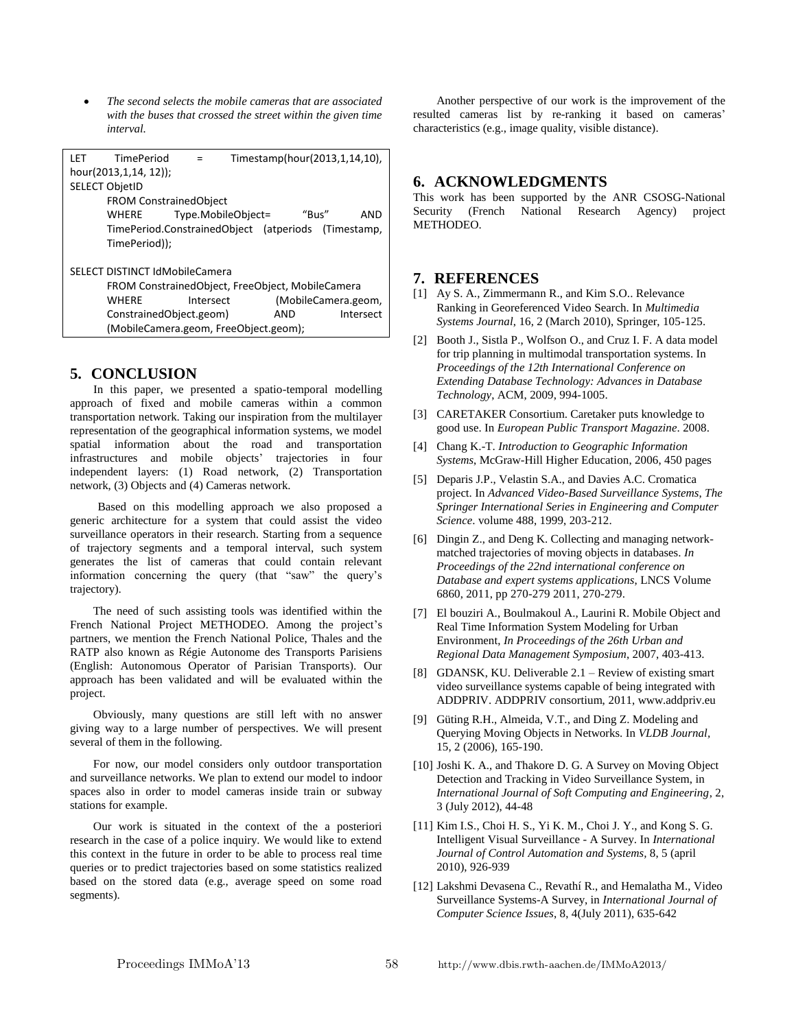*The second selects the mobile cameras that are associated with the buses that crossed the street within the given time interval.*

| <b>LET</b><br><b>TimePeriod</b>                     |                         | Timestamp(hour(2013,1,14,10), |  |
|-----------------------------------------------------|-------------------------|-------------------------------|--|
| hour(2013,1,14, 12));                               |                         |                               |  |
| <b>SELECT ObjetID</b>                               |                         |                               |  |
| <b>FROM ConstrainedObject</b>                       |                         |                               |  |
| WHERE                                               | Type.MobileObject=      | "Bus"<br>AND                  |  |
| TimePeriod.ConstrainedObject (atperiods (Timestamp, |                         |                               |  |
| TimePeriod));                                       |                         |                               |  |
| SELECT DISTINCT IdMobileCamera                      |                         |                               |  |
| FROM ConstrainedObject, FreeObject, MobileCamera    |                         |                               |  |
| <b>WHERE</b>                                        | Intersect               | (MobileCamera.geom,           |  |
|                                                     | ConstrainedObject.geom) | AND<br>Intersect              |  |
| (MobileCamera.geom, FreeObject.geom);               |                         |                               |  |

#### **5. CONCLUSION**

In this paper, we presented a spatio-temporal modelling approach of fixed and mobile cameras within a common transportation network. Taking our inspiration from the multilayer representation of the geographical information systems, we model spatial information about the road and transportation infrastructures and mobile objects' trajectories in four independent layers: (1) Road network, (2) Transportation network, (3) Objects and (4) Cameras network.

Based on this modelling approach we also proposed a generic architecture for a system that could assist the video surveillance operators in their research. Starting from a sequence of trajectory segments and a temporal interval, such system generates the list of cameras that could contain relevant information concerning the query (that "saw" the query's trajectory).

The need of such assisting tools was identified within the French National Project METHODEO. Among the project's partners, we mention the French National Police, Thales and the RATP also known as Régie Autonome des Transports Parisiens (English: Autonomous Operator of Parisian Transports). Our approach has been validated and will be evaluated within the project.

Obviously, many questions are still left with no answer giving way to a large number of perspectives. We will present several of them in the following.

For now, our model considers only outdoor transportation and surveillance networks. We plan to extend our model to indoor spaces also in order to model cameras inside train or subway stations for example.

Our work is situated in the context of the a posteriori research in the case of a police inquiry. We would like to extend this context in the future in order to be able to process real time queries or to predict trajectories based on some statistics realized based on the stored data (e.g., average speed on some road segments).

Another perspective of our work is the improvement of the resulted cameras list by re-ranking it based on cameras' characteristics (e.g., image quality, visible distance).

#### **6. ACKNOWLEDGMENTS**

This work has been supported by the ANR CSOSG-National Security (French National Research Agency) project METHODEO.

#### **7. REFERENCES**

- [1] Ay S. A., Zimmermann R., and Kim S.O.. Relevance Ranking in Georeferenced Video Search. In *Multimedia Systems Journal*, 16, 2 (March 2010), Springer, 105-125.
- [2] Booth J., Sistla P., Wolfson O., and Cruz I. F. A data model for trip planning in multimodal transportation systems. In *Proceedings of the 12th International Conference on Extending Database Technology: Advances in Database Technology*, ACM, 2009, 994-1005.
- [3] CARETAKER Consortium. Caretaker puts knowledge to good use. In *European Public Transport Magazine*. 2008.
- [4] Chang K.-T. *Introduction to Geographic Information Systems*, McGraw-Hill Higher Education, 2006, 450 pages
- [5] Deparis J.P., Velastin S.A., and Davies A.C. Cromatica project. In *Advanced Video-Based Surveillance Systems*, *The Springer International Series in Engineering and Computer Science*. volume 488, 1999, 203-212.
- [6] Dingin Z., and Deng K. Collecting and managing networkmatched trajectories of moving objects in databases. *In Proceedings of the 22nd international conference on Database and expert systems applications*, LNCS Volume 6860, 2011, pp 270-279 2011, 270-279.
- [7] El bouziri A., Boulmakoul A., Laurini R. Mobile Object and Real Time Information System Modeling for Urban Environment, *In Proceedings of the 26th Urban and Regional Data Management Symposium*, 2007, 403-413.
- [8] GDANSK, KU. Deliverable 2.1 Review of existing smart video surveillance systems capable of being integrated with ADDPRIV. ADDPRIV consortium, 2011, www.addpriv.eu
- [9] Güting R.H., Almeida, V.T., and Ding Z. Modeling and Querying Moving Objects in Networks. In *VLDB Journal,* 15, 2 (2006), 165-190.
- [10] Joshi K. A., and Thakore D. G. A Survey on Moving Object Detection and Tracking in Video Surveillance System, in *International Journal of Soft Computing and Engineering*, 2, 3 (July 2012), 44-48
- [11] Kim I.S., Choi H. S., Yi K. M., Choi J. Y., and Kong S. G. Intelligent Visual Surveillance - A Survey. In *International Journal of Control Automation and Systems,* 8, 5 (april 2010), 926-939
- [12] Lakshmi Devasena C., Revathí R., and Hemalatha M., Video Surveillance Systems-A Survey, in *International Journal of Computer Science Issues*, 8, 4(July 2011), 635-642